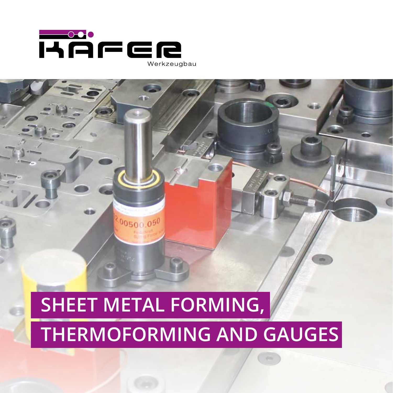

相应

 $00500.050$ 

# **SHEET METAL FORMING, THERMOFORMING AND GAUGES**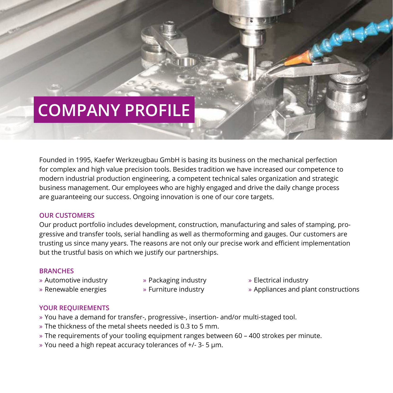## **COMPANY PROFILE**

Founded in 1995, Kaefer Werkzeugbau GmbH is basing its business on the mechanical perfection for complex and high value precision tools. Besides tradition we have increased our competence to modern industrial production engineering, a competent technical sales organization and strategic business management. Our employees who are highly engaged and drive the daily change process are guaranteeing our success. Ongoing innovation is one of our core targets.

### **OUR CUSTOMERS**

Our product portfolio includes development, construction, manufacturing and sales of stamping, progressive and transfer tools, serial handling as well as thermoforming and gauges. Our customers are trusting us since many years. The reasons are not only our precise work and efficient implementation but the trustful basis on which we justify our partnerships.

### **BRANCHES**

- » Automotive industry
- » Renewable energies
- » Packaging industry
- » Furniture industry
- » Electrical industry
- » Appliances and plant constructions

### **YOUR REQUIREMENTS**

- » You have a demand for transfer-, progressive-, insertion- and/or multi-staged tool.
- » The thickness of the metal sheets needed is 0.3 to 5 mm.
- » The requirements of your tooling equipment ranges between 60 400 strokes per minute.
- » You need a high repeat accuracy tolerances of +/- 3- 5 µm.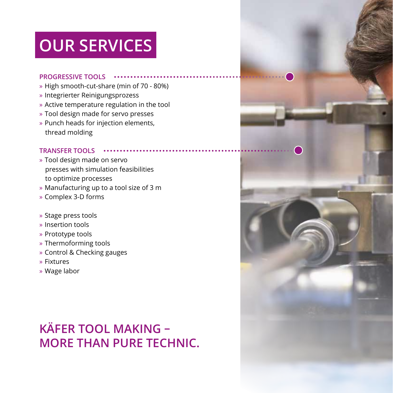## **OUR SERVICES**

#### **PROGRESSIVE TOOLS**

- » High smooth-cut-share (min of 70 80%)
- » Integrierter Reinigungsprozess
- » Active temperature regulation in the tool
- » Tool design made for servo presses
- » Punch heads for injection elements, thread molding

### **TRANSFER TOOLS**

- » Tool design made on servo presses with simulation feasibilities to optimize processes
- » Manufacturing up to a tool size of 3 m
- » Complex 3-D forms
- » Stage press tools
- » Insertion tools
- » Prototype tools
- » Thermoforming tools
- » Control & Checking gauges
- » Fixtures
- » Wage labor

### **KÄFER TOOL MAKING – MORE THAN PURE TECHNIC.**

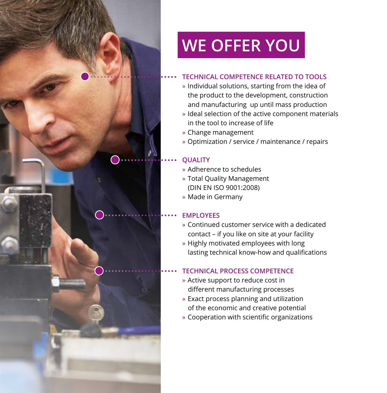## **WE OFFER YOU**

### **TECHNICAL COMPETENCE RELATED TO TOOLS**

- » Individual solutions, starting from the idea of the product to the development, construction and manufacturing up until mass production
- » Ideal selection of the active component materials in the tool to increase of life
- » Change management
- » Optimization / service / maintenance / repairs

### **QUALITY**

- » Adherence to schedules
- » Total Quality Management (DIN EN ISO 9001:2008)
- » Made in Germany

### **EMPLOYEES**

- » Continued customer service with a dedicated contact – if you like on site at your facility
- » Highly motivated employees with long lasting technical know-how and qualifications

### **TECHNICAL PROCESS COMPETENCE**

- » Active support to reduce cost in different manufacturing processes
- » Exact process planning and utilization of the economic and creative potential
- » Cooperation with scientific organizations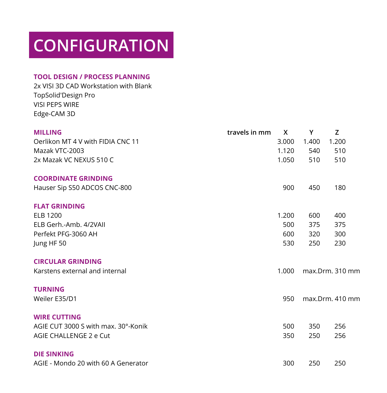## **CONFIGURATION**

### **TOOL DESIGN / PROCESS PLANNING**

2x VISI 3D CAD Workstation with Blank TopSolid'Design Pro VISI PEPS WIRE Edge-CAM 3D

| <b>MILLING</b>                      | travels in mm | X     | Y               | Z     |
|-------------------------------------|---------------|-------|-----------------|-------|
| Oerlikon MT 4 V with FIDIA CNC 11   |               | 3.000 | 1.400           | 1.200 |
| Mazak VTC-2003                      |               | 1.120 | 540             | 510   |
| 2x Mazak VC NEXUS 510 C             |               | 1.050 | 510             | 510   |
| <b>COORDINATE GRINDING</b>          |               |       |                 |       |
| Hauser Sip S50 ADCOS CNC-800        |               | 900   | 450             | 180   |
| <b>FLAT GRINDING</b>                |               |       |                 |       |
| <b>ELB 1200</b>                     |               | 1.200 | 600             | 400   |
| ELB Gerh.-Amb. 4/2VAII              |               | 500   | 375             | 375   |
| Perfekt PFG-3060 AH                 |               | 600   | 320             | 300   |
| Jung HF 50                          |               | 530   | 250             | 230   |
| <b>CIRCULAR GRINDING</b>            |               |       |                 |       |
| Karstens external and internal      |               | 1.000 | max.Drm. 310 mm |       |
| <b>TURNING</b>                      |               |       |                 |       |
| Weiler E35/D1                       |               | 950   | max.Drm. 410 mm |       |
| <b>WIRE CUTTING</b>                 |               |       |                 |       |
| AGIE CUT 3000 S with max. 30°-Konik |               | 500   | 350             | 256   |
| AGIE CHALLENGE 2 e Cut              |               | 350   | 250             | 256   |
| <b>DIE SINKING</b>                  |               |       |                 |       |
| AGIE - Mondo 20 with 60 A Generator |               | 300   | 250             | 250   |